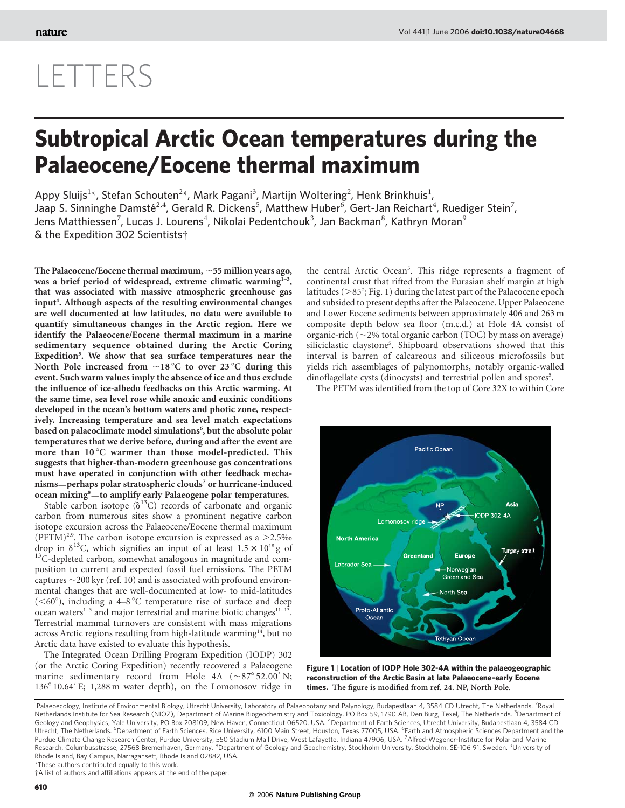## LETTERS

## Subtropical Arctic Ocean temperatures during the Palaeocene/Eocene thermal maximum

Appy Sluijs<sup>1</sup>\*, Stefan Schouten<sup>2</sup>\*, Mark Pagani<sup>3</sup>, Martijn Woltering<sup>2</sup>, Henk Brinkhuis<sup>1</sup>, Jaap S. Sinninghe Damsté<sup>2,4</sup>, Gerald R. Dickens<sup>5</sup>, Matthew Huber<sup>6</sup>, Gert-Jan Reichart<sup>4</sup>, Ruediger Stein<sup>7</sup>, Jens Matthiessen<sup>7</sup>, Lucas J. Lourens<sup>4</sup>, Nikolai Pedentchouk<sup>3</sup>, Jan Backman<sup>8</sup>, Kathryn Moran<sup>9</sup> & the Expedition 302 Scientists†

The Palaeocene/Eocene thermal maximum,  $\sim$  55 million years ago, was a brief period of widespread, extreme climatic warming $1^{-3}$ , that was associated with massive atmospheric greenhouse gas input<sup>4</sup>. Although aspects of the resulting environmental changes are well documented at low latitudes, no data were available to quantify simultaneous changes in the Arctic region. Here we identify the Palaeocene/Eocene thermal maximum in a marine sedimentary sequence obtained during the Arctic Coring Expedition<sup>5</sup>. We show that sea surface temperatures near the North Pole increased from  $\sim$ 18 °C to over 23 °C during this event. Such warm values imply the absence of ice and thus exclude the influence of ice-albedo feedbacks on this Arctic warming. At the same time, sea level rose while anoxic and euxinic conditions developed in the ocean's bottom waters and photic zone, respectively. Increasing temperature and sea level match expectations based on palaeoclimate model simulations<sup>6</sup>, but the absolute polar temperatures that we derive before, during and after the event are more than  $10^{\circ}$ C warmer than those model-predicted. This suggests that higher-than-modern greenhouse gas concentrations must have operated in conjunction with other feedback mechanisms—perhaps polar stratospheric clouds<sup>7</sup> or hurricane-induced ocean mixing<sup>8</sup>-to amplify early Palaeogene polar temperatures.

Stable carbon isotope  $(\delta^{13}C)$  records of carbonate and organic carbon from numerous sites show a prominent negative carbon isotope excursion across the Palaeocene/Eocene thermal maximum (PETM)<sup>2,9</sup>. The carbon isotope excursion is expressed as a  $>2.5\%$ drop in  $\delta^{13}$ C, which signifies an input of at least  $1.5 \times 10^{18}$  g of  $^{13}$ C-depleted carbon, somewhat analogous in magnitude and composition to current and expected fossil fuel emissions. The PETM captures  $\sim$  200 kyr (ref. 10) and is associated with profound environmental changes that are well-documented at low- to mid-latitudes ( $<$ 60°), including a 4–8 °C temperature rise of surface and deep ocean waters<sup>1-3</sup> and major terrestrial and marine biotic changes<sup>11-13</sup>. Terrestrial mammal turnovers are consistent with mass migrations across Arctic regions resulting from high-latitude warming<sup>14</sup>, but no Arctic data have existed to evaluate this hypothesis.

The Integrated Ocean Drilling Program Expedition (IODP) 302 (or the Arctic Coring Expedition) recently recovered a Palaeogene marine sedimentary record from Hole 4A  $(\sim 87^\circ 52.00^\prime\,\rm{N};$ 136° 10.64' E; 1,288 m water depth), on the Lomonosov ridge in

the central Arctic Ocean<sup>5</sup>. This ridge represents a fragment of continental crust that rifted from the Eurasian shelf margin at high latitudes ( $>85^\circ$ ; Fig. 1) during the latest part of the Palaeocene epoch and subsided to present depths after the Palaeocene. Upper Palaeocene and Lower Eocene sediments between approximately 406 and 263 m composite depth below sea floor (m.c.d.) at Hole 4A consist of organic-rich ( $\sim$ 2% total organic carbon (TOC) by mass on average) siliciclastic claystone<sup>5</sup>. Shipboard observations showed that this interval is barren of calcareous and siliceous microfossils but yields rich assemblages of palynomorphs, notably organic-walled dinoflagellate cysts (dinocysts) and terrestrial pollen and spores<sup>5</sup>.

The PETM was identified from the top of Core 32X to within Core



Figure 1 | Location of IODP Hole 302-4A within the palaeogeographic reconstruction of the Arctic Basin at late Palaeocene–early Eocene times. The figure is modified from ref. 24. NP, North Pole.

\*These authors contributed equally to this work.

†A list of authors and affiliations appears at the end of the paper.

<sup>&</sup>lt;sup>1</sup>Palaeoecology, Institute of Environmental Biology, Utrecht University, Laboratory of Palaeobotany and Palynology, Budapestlaan 4, 3584 CD Utrecht, The Netherlands. <sup>2</sup>Royal Netherlands Institute for Sea Research (NIOZ), Department of Marine Biogeochemistry and Toxicology, PO Box 59, 1790 AB, Den Burg, Texel, The Netherlands. <sup>3</sup>Department of Geology and Geophysics, Yale University, PO Box 208109, New Haven, Connecticut 06520, USA. <sup>4</sup>Department of Earth Sciences, Utrecht University, Budapestlaan 4, 3584 CD Utrecht, The Netherlands. <sup>5</sup>Department of Earth Sciences, Rice University, 6100 Main Street, Houston, Texas 77005, USA. <sup>6</sup>Earth and Atmospheric Sciences Department and the Purdue Climate Change Research Center, Purdue University, 550 Stadium Mall Drive, West Lafayette, Indiana 47906, USA. <sup>7</sup>Alfred-Wegener-Institute for Polar and Marine<br>Research, Columbusstrasse, 27568 Bremerhaven, Germany. Rhode Island, Bay Campus, Narragansett, Rhode Island 02882, USA.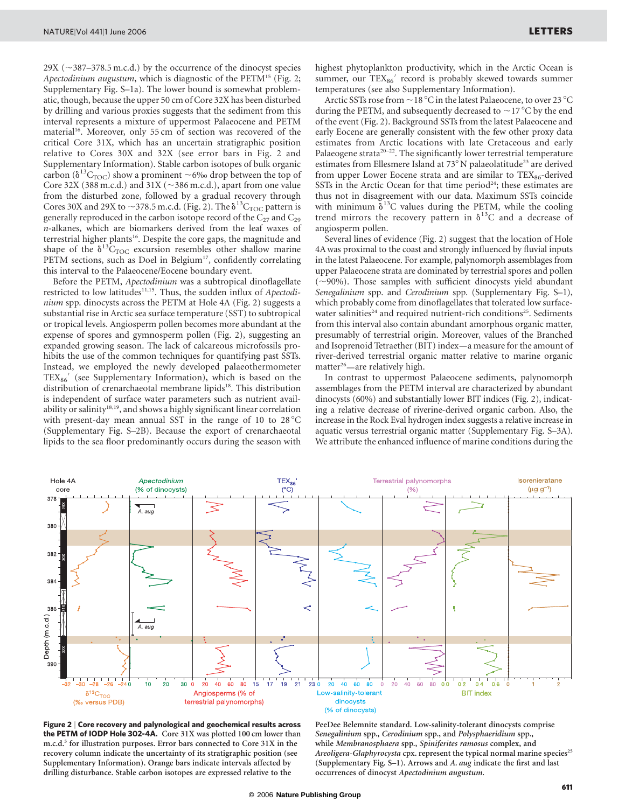$29X$  ( $\sim$ 387–378.5 m.c.d.) by the occurrence of the dinocyst species Apectodinium augustum, which is diagnostic of the PETM<sup>15</sup> (Fig. 2; Supplementary Fig. S–1a). The lower bound is somewhat problematic, though, because the upper 50 cm of Core 32X has been disturbed by drilling and various proxies suggests that the sediment from this interval represents a mixture of uppermost Palaeocene and PETM material<sup>16</sup>. Moreover, only 55 cm of section was recovered of the critical Core 31X, which has an uncertain stratigraphic position relative to Cores 30X and 32X (see error bars in Fig. 2 and Supplementary Information). Stable carbon isotopes of bulk organic carbon ( $\delta^{13}C_{\text{TOC}}$ ) show a prominent ~6‰ drop between the top of Core 32X (388 m.c.d.) and 31X ( $\sim$ 386 m.c.d.), apart from one value from the disturbed zone, followed by a gradual recovery through Cores 30X and 29X to  $\sim$ 378.5 m.c.d. (Fig. 2). The  $\delta^{13}C_{\text{TOC}}$  pattern is generally reproduced in the carbon isotope record of the  $C_{27}$  and  $C_{29}$ n-alkanes, which are biomarkers derived from the leaf waxes of terrestrial higher plants<sup>16</sup>. Despite the core gaps, the magnitude and shape of the  $\delta^{13}C_{\text{TOC}}$  excursion resembles other shallow marine PETM sections, such as Doel in Belgium<sup>17</sup>, confidently correlating this interval to the Palaeocene/Eocene boundary event.

Before the PETM, Apectodinium was a subtropical dinoflagellate restricted to low latitudes<sup>11,15</sup>. Thus, the sudden influx of Apectodinium spp. dinocysts across the PETM at Hole 4A (Fig. 2) suggests a substantial rise in Arctic sea surface temperature (SST) to subtropical or tropical levels. Angiosperm pollen becomes more abundant at the expense of spores and gymnosperm pollen (Fig. 2), suggesting an expanded growing season. The lack of calcareous microfossils prohibits the use of the common techniques for quantifying past SSTs. Instead, we employed the newly developed palaeothermometer  $TEX_{86}$ <sup>'</sup> (see Supplementary Information), which is based on the distribution of crenarchaeotal membrane lipids<sup>18</sup>. This distribution is independent of surface water parameters such as nutrient availability or salinity<sup>18,19</sup>, and shows a highly significant linear correlation with present-day mean annual SST in the range of 10 to  $28^{\circ}$ C (Supplementary Fig. S–2B). Because the export of crenarchaeotal lipids to the sea floor predominantly occurs during the season with

highest phytoplankton productivity, which in the Arctic Ocean is summer, our TEX<sub>86</sub>' record is probably skewed towards summer temperatures (see also Supplementary Information).

Arctic SSTs rose from  $\sim$  18 °C in the latest Palaeocene, to over 23 °C during the PETM, and subsequently decreased to  $\sim$  17 °C by the end of the event (Fig. 2). Background SSTs from the latest Palaeocene and early Eocene are generally consistent with the few other proxy data estimates from Arctic locations with late Cretaceous and early Palaeogene strata $20-22$ . The significantly lower terrestrial temperature estimates from Ellesmere Island at 73°N palaeolatitude<sup>23</sup> are derived from upper Lower Eocene strata and are similar to  $TEX_{86}$ -derived SSTs in the Arctic Ocean for that time period<sup>24</sup>; these estimates are thus not in disagreement with our data. Maximum SSTs coincide with minimum  $\delta^{13}$ C values during the PETM, while the cooling trend mirrors the recovery pattern in  $\delta^{13}$ C and a decrease of angiosperm pollen.

Several lines of evidence (Fig. 2) suggest that the location of Hole 4A was proximal to the coast and strongly influenced by fluvial inputs in the latest Palaeocene. For example, palynomorph assemblages from upper Palaeocene strata are dominated by terrestrial spores and pollen  $(\sim)90\%$ ). Those samples with sufficient dinocysts yield abundant Senegalinium spp. and Cerodinium spp. (Supplementary Fig. S–1), which probably come from dinoflagellates that tolerated low surfacewater salinities<sup>24</sup> and required nutrient-rich conditions<sup>25</sup>. Sediments from this interval also contain abundant amorphous organic matter, presumably of terrestrial origin. Moreover, values of the Branched and Isoprenoid Tetraether (BIT) index—a measure for the amount of river-derived terrestrial organic matter relative to marine organic matter<sup>26</sup>—are relatively high.

In contrast to uppermost Palaeocene sediments, palynomorph assemblages from the PETM interval are characterized by abundant dinocysts (60%) and substantially lower BIT indices (Fig. 2), indicating a relative decrease of riverine-derived organic carbon. Also, the increase in the Rock Eval hydrogen index suggests a relative increase in aquatic versus terrestrial organic matter (Supplementary Fig. S–3A). We attribute the enhanced influence of marine conditions during the





PeeDee Belemnite standard. Low-salinity-tolerant dinocysts comprise Senegalinium spp., Cerodinium spp., and Polysphaeridium spp., while Membranosphaera spp., Spiniferites ramosus complex, and Areoligera-Glaphyrocysta cpx. represent the typical normal marine species<sup>25</sup> (Supplementary Fig. S–1). Arrows and A. aug indicate the first and last occurrences of dinocyst Apectodinium augustum.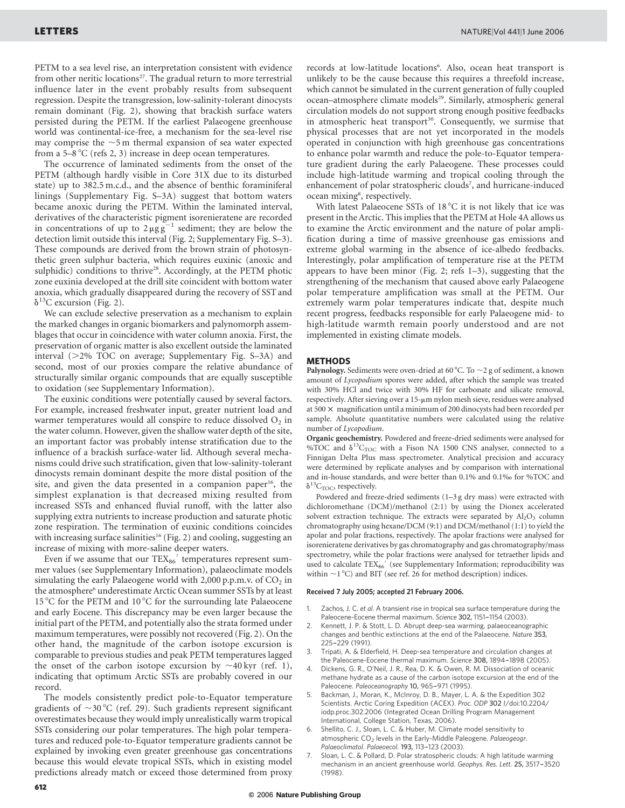PETM to a sea level rise, an interpretation consistent with evidence from other neritic locations<sup>27</sup>. The gradual return to more terrestrial influence later in the event probably results from subsequent regression. Despite the transgression, low-salinity-tolerant dinocysts remain dominant (Fig. 2), showing that brackish surface waters persisted during the PETM. If the earliest Palaeogene greenhouse world was continental-ice-free, a mechanism for the sea-level rise may comprise the  $\sim$ 5 m thermal expansion of sea water expected from a  $5-8$  °C (refs 2, 3) increase in deep ocean temperatures.

The occurrence of laminated sediments from the onset of the PETM (although hardly visible in Core 31X due to its disturbed state) up to 382.5 m.c.d., and the absence of benthic foraminiferal linings (Supplementary Fig. S–3A) suggest that bottom waters became anoxic during the PETM. Within the laminated interval, derivatives of the characteristic pigment isorenieratene are recorded in concentrations of up to  $2 \mu g g^{-1}$  sediment; they are below the detection limit outside this interval (Fig. 2; Supplementary Fig. S–3). These compounds are derived from the brown strain of photosynthetic green sulphur bacteria, which requires euxinic (anoxic and sulphidic) conditions to thrive<sup>28</sup>. Accordingly, at the PETM photic zone euxinia developed at the drill site coincident with bottom water anoxia, which gradually disappeared during the recovery of SST and  $\delta^{13}$ C excursion (Fig. 2).

We can exclude selective preservation as a mechanism to explain the marked changes in organic biomarkers and palynomorph assemblages that occur in coincidence with water column anoxia. First, the preservation of organic matter is also excellent outside the laminated interval  $(>2\%$  TOC on average; Supplementary Fig. S-3A) and second, most of our proxies compare the relative abundance of structurally similar organic compounds that are equally susceptible to oxidation (see Supplementary Information).

The euxinic conditions were potentially caused by several factors. For example, increased freshwater input, greater nutrient load and warmer temperatures would all conspire to reduce dissolved  $O_2$  in the water column. However, given the shallow water depth of the site, an important factor was probably intense stratification due to the influence of a brackish surface-water lid. Although several mechanisms could drive such stratification, given that low-salinity-tolerant dinocysts remain dominant despite the more distal position of the site, and given the data presented in a companion paper<sup>16</sup>, the simplest explanation is that decreased mixing resulted from increased SSTs and enhanced fluvial runoff, with the latter also supplying extra nutrients to increase production and saturate photic zone respiration. The termination of euxinic conditions coincides with increasing surface salinities<sup>16</sup> (Fig. 2) and cooling, suggesting an increase of mixing with more-saline deeper waters.

Even if we assume that our  $TEX_{86}$  temperatures represent summer values (see Supplementary Information), palaeoclimate models simulating the early Palaeogene world with 2,000 p.p.m.v. of  $CO<sub>2</sub>$  in the atmosphere<sup>6</sup> underestimate Arctic Ocean summer SSTs by at least 15 °C for the PETM and 10 °C for the surrounding late Palaeocene and early Eocene. This discrepancy may be even larger because the initial part of the PETM, and potentially also the strata formed under maximum temperatures, were possibly not recovered (Fig. 2). On the other hand, the magnitude of the carbon isotope excursion is comparable to previous studies and peak PETM temperatures lagged the onset of the carbon isotope excursion by  $\sim$ 40 kyr (ref. 1), indicating that optimum Arctic SSTs are probably covered in our record.

The models consistently predict pole-to-Equator temperature gradients of  $\sim$ 30 °C (ref. 29). Such gradients represent significant overestimates because they would imply unrealistically warm tropical SSTs considering our polar temperatures. The high polar temperatures and reduced pole-to-Equator temperature gradients cannot be explained by invoking even greater greenhouse gas concentrations because this would elevate tropical SSTs, which in existing model predictions already match or exceed those determined from proxy

records at low-latitude locations<sup>6</sup>. Also, ocean heat transport is unlikely to be the cause because this requires a threefold increase, which cannot be simulated in the current generation of fully coupled ocean-atmosphere climate models<sup>29</sup>. Similarly, atmospheric general circulation models do not support strong enough positive feedbacks in atmospheric heat transport<sup>30</sup>. Consequently, we surmise that physical processes that are not yet incorporated in the models operated in conjunction with high greenhouse gas concentrations to enhance polar warmth and reduce the pole-to-Equator temperature gradient during the early Palaeogene. These processes could include high-latitude warming and tropical cooling through the enhancement of polar stratospheric clouds<sup>7</sup>, and hurricane-induced ocean mixing<sup>8</sup>, respectively.

With latest Palaeocene SSTs of  $18\,^{\circ}\text{C}$  it is not likely that ice was present in the Arctic. This implies that the PETM at Hole 4A allows us to examine the Arctic environment and the nature of polar amplification during a time of massive greenhouse gas emissions and extreme global warming in the absence of ice-albedo feedbacks. Interestingly, polar amplification of temperature rise at the PETM appears to have been minor (Fig. 2; refs  $1-3$ ), suggesting that the strengthening of the mechanism that caused above early Palaeogene polar temperature amplification was small at the PETM. Our extremely warm polar temperatures indicate that, despite much recent progress, feedbacks responsible for early Palaeogene mid- to high-latitude warmth remain poorly understood and are not implemented in existing climate models.

## METHODS

Palynology. Sediments were oven-dried at 60 °C. To  $\sim$  2 g of sediment, a known amount of Lycopodium spores were added, after which the sample was treated with 30% HCl and twice with 30% HF for carbonate and silicate removal, respectively. After sieving over a 15-µm nylon mesh sieve, residues were analysed at 500  $\times$  magnification until a minimum of 200 dinocysts had been recorded per sample. Absolute quantitative numbers were calculated using the relative number of Lycopodium.

Organic geochemistry. Powdered and freeze-dried sediments were analysed for %TOC and  $\delta^{13}C_{\text{TOC}}$  with a Fison NA 1500 CNS analyser, connected to a Finnigan Delta Plus mass spectrometer. Analytical precision and accuracy were determined by replicate analyses and by comparison with international and in-house standards, and were better than 0.1% and 0.1‰ for %TOC and  $\delta^{13}C_{\text{TOC}}$ , respectively.

Powdered and freeze-dried sediments (1–3 g dry mass) were extracted with dichloromethane (DCM)/methanol (2:1) by using the Dionex accelerated solvent extraction technique. The extracts were separated by  $Al_2O_3$  column chromatography using hexane/DCM (9:1) and DCM/methanol (1:1) to yield the apolar and polar fractions, respectively. The apolar fractions were analysed for isorenieratene derivatives by gas chromatography and gas chromatography/mass spectrometry, while the polar fractions were analysed for tetraether lipids and used to calculate  $TEX_{86}$ ' (see Supplementary Information; reproducibility was within  $\sim$ 1 °C) and BIT (see ref. 26 for method description) indices.

## Received 7 July 2005; accepted 21 February 2006.

- 1. Zachos, J. C. et al. A transient rise in tropical sea surface temperature during the Paleocene-Eocene thermal maximum. Science 302, 1151-1154 (2003).
- 2. Kennett, J. P. & Stott, L. D. Abrupt deep-sea warming, palaeoceanographic changes and benthic extinctions at the end of the Palaeocene. Nature 353, 225–-229 (1991).
- 3. Tripati, A. & Elderfield, H. Deep-sea temperature and circulation changes at the Paleocene-Eocene thermal maximum. Science 308, 1894-1898 (2005).
- 4. Dickens, G. R., O'Neil, J. R., Rea, D. K. & Owen, R. M. Dissociation of oceanic methane hydrate as a cause of the carbon isotope excursion at the end of the Paleocene. Paleoceanography 10, 965-971 (1995).
- 5. Backman, J., Moran, K., McInroy, D. B., Mayer, L. A. & the Expedition 302 Scientists. Arctic Coring Expedition (ACEX). Proc. ODP 302 I/doi:10.2204/ iodp.proc.302.2006 (Integrated Ocean Drilling Program Management International, College Station, Texas, 2006).
- 6. Shellito, C. J., Sloan, L. C. & Huber, M. Climate model sensitivity to atmospheric  $CO<sub>2</sub>$  levels in the Early-Middle Paleogene. Palaeogeogr. Palaeoclimatol. Palaeoecol. 193, 113–-123 (2003).
- 7. Sloan, L. C. & Pollard, D. Polar stratospheric clouds: A high latitude warming mechanism in an ancient greenhouse world. Geophys. Res. Lett. 25, 3517-3520 (1998).